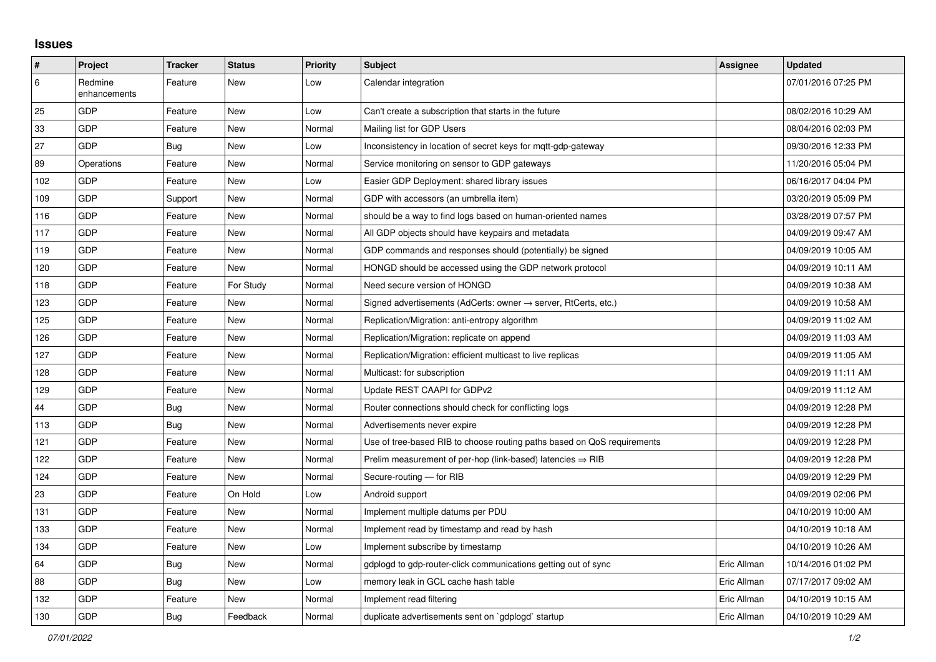## **Issues**

| $\sharp$ | Project                 | <b>Tracker</b> | <b>Status</b> | Priority | <b>Subject</b>                                                             | <b>Assignee</b> | <b>Updated</b>      |
|----------|-------------------------|----------------|---------------|----------|----------------------------------------------------------------------------|-----------------|---------------------|
| 6        | Redmine<br>enhancements | Feature        | <b>New</b>    | Low      | Calendar integration                                                       |                 | 07/01/2016 07:25 PM |
| 25       | GDP                     | Feature        | <b>New</b>    | Low      | Can't create a subscription that starts in the future                      |                 | 08/02/2016 10:29 AM |
| 33       | GDP                     | Feature        | New           | Normal   | Mailing list for GDP Users                                                 |                 | 08/04/2016 02:03 PM |
| 27       | GDP                     | Bug            | New           | Low      | Inconsistency in location of secret keys for mqtt-gdp-gateway              |                 | 09/30/2016 12:33 PM |
| 89       | Operations              | Feature        | New           | Normal   | Service monitoring on sensor to GDP gateways                               |                 | 11/20/2016 05:04 PM |
| 102      | <b>GDP</b>              | Feature        | <b>New</b>    | Low      | Easier GDP Deployment: shared library issues                               |                 | 06/16/2017 04:04 PM |
| 109      | <b>GDP</b>              | Support        | <b>New</b>    | Normal   | GDP with accessors (an umbrella item)                                      |                 | 03/20/2019 05:09 PM |
| 116      | <b>GDP</b>              | Feature        | <b>New</b>    | Normal   | should be a way to find logs based on human-oriented names                 |                 | 03/28/2019 07:57 PM |
| 117      | <b>GDP</b>              | Feature        | New           | Normal   | All GDP objects should have keypairs and metadata                          |                 | 04/09/2019 09:47 AM |
| 119      | GDP                     | Feature        | <b>New</b>    | Normal   | GDP commands and responses should (potentially) be signed                  |                 | 04/09/2019 10:05 AM |
| 120      | <b>GDP</b>              | Feature        | <b>New</b>    | Normal   | HONGD should be accessed using the GDP network protocol                    |                 | 04/09/2019 10:11 AM |
| 118      | GDP                     | Feature        | For Study     | Normal   | Need secure version of HONGD                                               |                 | 04/09/2019 10:38 AM |
| 123      | <b>GDP</b>              | Feature        | <b>New</b>    | Normal   | Signed advertisements (AdCerts: owner $\rightarrow$ server, RtCerts, etc.) |                 | 04/09/2019 10:58 AM |
| 125      | GDP                     | Feature        | New           | Normal   | Replication/Migration: anti-entropy algorithm                              |                 | 04/09/2019 11:02 AM |
| 126      | GDP                     | Feature        | <b>New</b>    | Normal   | Replication/Migration: replicate on append                                 |                 | 04/09/2019 11:03 AM |
| 127      | <b>GDP</b>              | Feature        | <b>New</b>    | Normal   | Replication/Migration: efficient multicast to live replicas                |                 | 04/09/2019 11:05 AM |
| 128      | GDP                     | Feature        | New           | Normal   | Multicast: for subscription                                                |                 | 04/09/2019 11:11 AM |
| 129      | GDP                     | Feature        | <b>New</b>    | Normal   | Update REST CAAPI for GDPv2                                                |                 | 04/09/2019 11:12 AM |
| 44       | GDP                     | <b>Bug</b>     | New           | Normal   | Router connections should check for conflicting logs                       |                 | 04/09/2019 12:28 PM |
| 113      | GDP                     | Bug            | <b>New</b>    | Normal   | Advertisements never expire                                                |                 | 04/09/2019 12:28 PM |
| 121      | GDP                     | Feature        | <b>New</b>    | Normal   | Use of tree-based RIB to choose routing paths based on QoS requirements    |                 | 04/09/2019 12:28 PM |
| 122      | GDP                     | Feature        | New           | Normal   | Prelim measurement of per-hop (link-based) latencies $\Rightarrow$ RIB     |                 | 04/09/2019 12:28 PM |
| 124      | GDP                     | Feature        | <b>New</b>    | Normal   | Secure-routing - for RIB                                                   |                 | 04/09/2019 12:29 PM |
| 23       | GDP                     | Feature        | On Hold       | Low      | Android support                                                            |                 | 04/09/2019 02:06 PM |
| 131      | GDP                     | Feature        | New           | Normal   | Implement multiple datums per PDU                                          |                 | 04/10/2019 10:00 AM |
| 133      | <b>GDP</b>              | Feature        | New           | Normal   | Implement read by timestamp and read by hash                               |                 | 04/10/2019 10:18 AM |
| 134      | GDP                     | Feature        | <b>New</b>    | Low      | Implement subscribe by timestamp                                           |                 | 04/10/2019 10:26 AM |
| 64       | <b>GDP</b>              | Bug            | <b>New</b>    | Normal   | gdplogd to gdp-router-click communications getting out of sync             | Eric Allman     | 10/14/2016 01:02 PM |
| 88       | <b>GDP</b>              | Bug            | New           | Low      | memory leak in GCL cache hash table                                        | Eric Allman     | 07/17/2017 09:02 AM |
| 132      | GDP                     | Feature        | <b>New</b>    | Normal   | Implement read filtering                                                   | Eric Allman     | 04/10/2019 10:15 AM |
| 130      | <b>GDP</b>              | Bug            | Feedback      | Normal   | duplicate advertisements sent on `gdplogd` startup                         | Eric Allman     | 04/10/2019 10:29 AM |